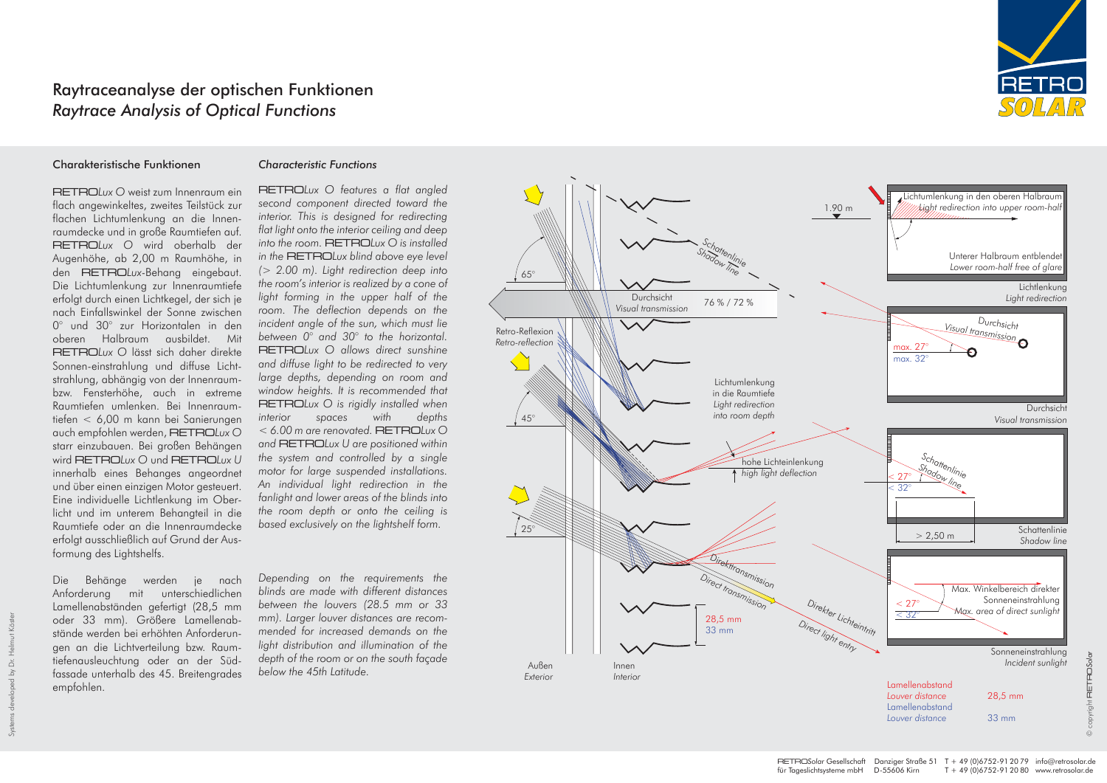#### Charakteristische Funktionen

## RETRO*Lux O* weist zum Innenraum ein flach angewinkeltes, zweites Teilstück zur flachen Lichtumlenkung an die Innenraumdecke und in große Raumtiefen auf. RETRO*Lux O* wird oberhalb der Augenhöhe, ab 2,00 m Raumhöhe, in den RETRO*Lux*-Behang eingebaut. Die Lichtumlenkung zur Innenraumtiefe erfolgt durch einen Lichtkegel, der sich je nach Einfallswinkel der Sonne zwischen 0° und 30° zur Horizontalen in den oberen Halbraum ausbildet. Mit RETRO*Lux O* lässt sich daher direkte Sonnen-einstrahlung und diffuse Lichtstrahlung, abhängig von der Innenraumbzw. Fensterhöhe, auch in extreme Raumtiefen umlenken. Bei Innenraumtiefen < 6,00 m kann bei Sanierungen auch empfohlen werden, RETRO*Lux O* starr einzubauen. Bei großen Behängen wird RETRO*Lux O* und RETRO*Lux U* innerhalb eines Behanges angeordnet und über einen einzigen Motor gesteuert. Eine individuelle Lichtlenkung im Oberlicht und im unterem Behangteil in die Raumtiefe oder an die Innenraumdecke erfolgt ausschließlich auf Grund der Ausformung des Lightshelfs.

Die Behänge werden je nach Anforderung mit unterschiedlichen Lamellenabständen gefertigt (28,5 mm oder 33 mm). Größere Lamellenabstände werden bei erhöhten Anforderungen an die Lichtverteilung bzw. Raumtiefenausleuchtung oder an der Südfassade unterhalb des 45. Breitengrades empfohlen.

#### *Characteristic Functions*

RETRO*Lux O features a flat angled second component directed toward the interior. This is designed for redirecting flat light onto the interior ceiling and deep into the room.* RETRO*Lux O is installed in the* RETRO*Lux blind above eye level (> 2.00 m). Light redirection deep into the room's interior is realized by a cone of light forming in the upper half of the room. The deflection depends on the incident angle of the sun, which must lie between 0° and 30° to the horizontal.*  RETRO*Lux O allows direct sunshine and diffuse light to be redirected to very large depths, depending on room and window heights. It is recommended that*  RETRO*Lux O is rigidly installed when interior spaces with depths < 6.00 m are renovated.* RETRO*Lux O and* RETRO*Lux U are positioned within the system and controlled by a single motor for large suspended installations. An individual light redirection in the fanlight and lower areas of the blinds into the room depth or onto the ceiling is based exclusively on the lightshelf form.*

OSolar © copyright RETRO*Solar*

*Depending on the requirements the blinds are made with different distances between the louvers (28.5 mm or 33 mm). Larger louver distances are recommended for increased demands on the light distribution and illumination of the depth of the room or on the south façade below the 45th Latitude.* 





# Raytraceanalyse der optischen Funktionen *Raytrace Analysis of Optical Functions*